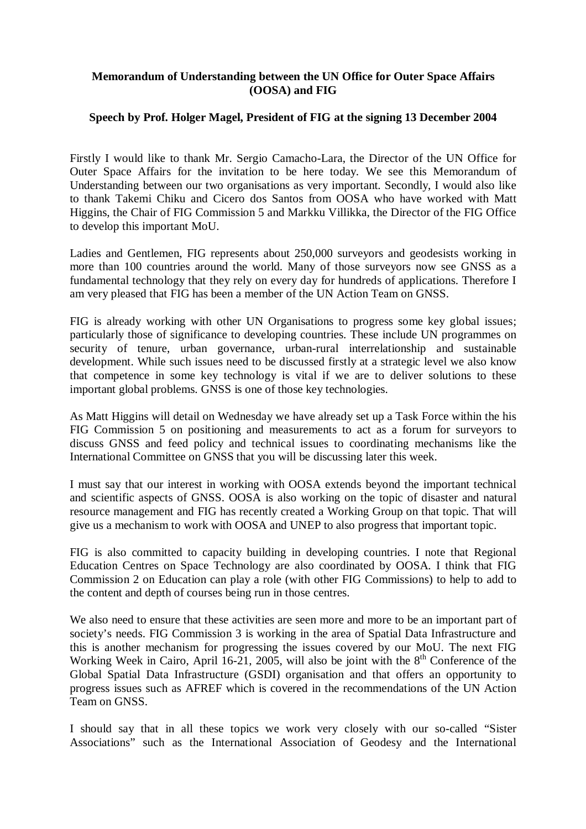## **Memorandum of Understanding between the UN Office for Outer Space Affairs (OOSA) and FIG**

## **Speech by Prof. Holger Magel, President of FIG at the signing 13 December 2004**

Firstly I would like to thank Mr. Sergio Camacho-Lara, the Director of the UN Office for Outer Space Affairs for the invitation to be here today. We see this Memorandum of Understanding between our two organisations as very important. Secondly, I would also like to thank Takemi Chiku and Cicero dos Santos from OOSA who have worked with Matt Higgins, the Chair of FIG Commission 5 and Markku Villikka, the Director of the FIG Office to develop this important MoU.

Ladies and Gentlemen, FIG represents about 250,000 surveyors and geodesists working in more than 100 countries around the world. Many of those surveyors now see GNSS as a fundamental technology that they rely on every day for hundreds of applications. Therefore I am very pleased that FIG has been a member of the UN Action Team on GNSS.

FIG is already working with other UN Organisations to progress some key global issues; particularly those of significance to developing countries. These include UN programmes on security of tenure, urban governance, urban-rural interrelationship and sustainable development. While such issues need to be discussed firstly at a strategic level we also know that competence in some key technology is vital if we are to deliver solutions to these important global problems. GNSS is one of those key technologies.

As Matt Higgins will detail on Wednesday we have already set up a Task Force within the his FIG Commission 5 on positioning and measurements to act as a forum for surveyors to discuss GNSS and feed policy and technical issues to coordinating mechanisms like the International Committee on GNSS that you will be discussing later this week.

I must say that our interest in working with OOSA extends beyond the important technical and scientific aspects of GNSS. OOSA is also working on the topic of disaster and natural resource management and FIG has recently created a Working Group on that topic. That will give us a mechanism to work with OOSA and UNEP to also progress that important topic.

FIG is also committed to capacity building in developing countries. I note that Regional Education Centres on Space Technology are also coordinated by OOSA. I think that FIG Commission 2 on Education can play a role (with other FIG Commissions) to help to add to the content and depth of courses being run in those centres.

We also need to ensure that these activities are seen more and more to be an important part of society's needs. FIG Commission 3 is working in the area of Spatial Data Infrastructure and this is another mechanism for progressing the issues covered by our MoU. The next FIG Working Week in Cairo, April 16-21, 2005, will also be joint with the  $8<sup>th</sup>$  Conference of the Global Spatial Data Infrastructure (GSDI) organisation and that offers an opportunity to progress issues such as AFREF which is covered in the recommendations of the UN Action Team on GNSS.

I should say that in all these topics we work very closely with our so-called "Sister Associations" such as the International Association of Geodesy and the International